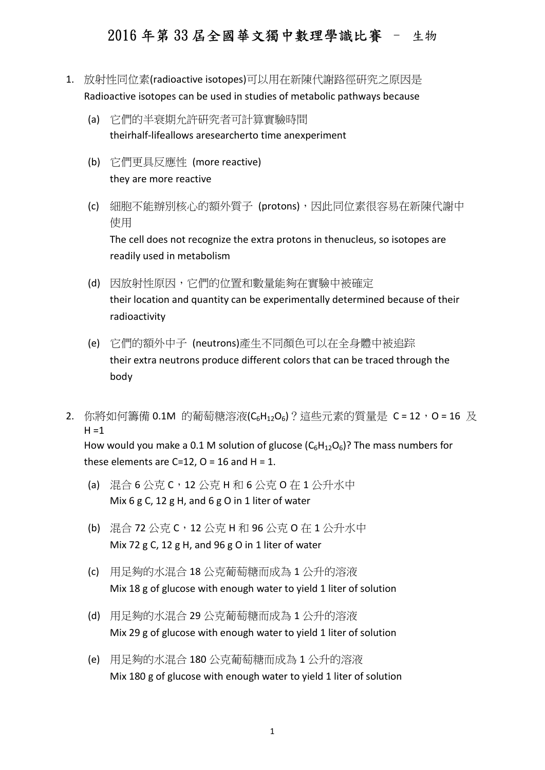- 1. 放射性同位素(radioactive isotopes)可以用在新陳代謝路徑硏究之原因是 Radioactive isotopes can be used in studies of metabolic pathways because
	- (a) 它們的半衰期允許硏究者可計算實驗時間 theirhalf-lifeallows aresearcherto time anexperiment
	- (b) 它們更具反應性 (more reactive) they are more reactive
	- (c) 細胞不能辦別核心的額外質子 (protons),因此同位素很容易在新陳代謝中 使用 The cell does not recognize the extra protons in thenucleus, so isotopes are readily used in metabolism
	- (d) 因放射性原因,它們的位置和數量能夠在實驗中被確定 their location and quantity can be experimentally determined because of their radioactivity
	- (e) 它們的額外中子 (neutrons)產生不同顏色可以在全身體中被追踪 their extra neutrons produce different colors that can be traced through the body
- 2. 你將如何籌備 0.1M 的葡萄糖溶液(C<sub>6</sub>H<sub>12</sub>O<sub>6</sub>)?這些元素的質量是 C = 12,O = 16 及  $H = 1$

How would you make a 0.1 M solution of glucose  $(C_6H_1,0_6)$ ? The mass numbers for these elements are C=12,  $O = 16$  and H = 1.

- (a) 混合 6 公克 C,12 公克 H 和 6 公克 O 在 1 公升水中 Mix 6 g C, 12 g H, and 6 g O in 1 liter of water
- (b) 混合 72 公克 C,12 公克 H 和 96 公克 O 在 1 公升水中 Mix 72 g C, 12 g H, and 96 g O in 1 liter of water
- (c) 用足夠的水混合 18 公克葡萄糖而成為 1 公升的溶液 Mix 18 g of glucose with enough water to yield 1 liter of solution
- (d) 用足夠的水混合 29 公克葡萄糖而成為 1 公升的溶液 Mix 29 g of glucose with enough water to yield 1 liter of solution
- (e) 用足夠的水混合 180 公克葡萄糖而成為 1 公升的溶液 Mix 180 g of glucose with enough water to yield 1 liter of solution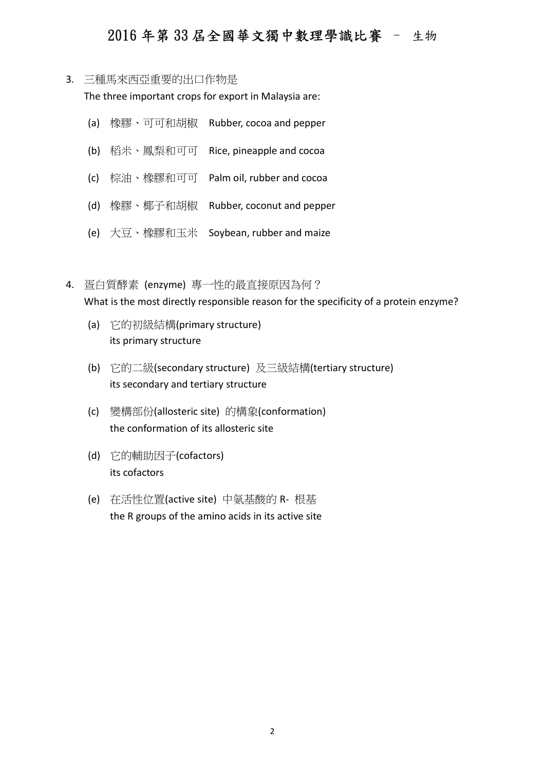3. 三種馬來西亞重要的出口作物是

The three important crops for export in Malaysia are:

- (a) 橡膠、可可和胡椒 Rubber, cocoa and pepper
- (b) 稻米、鳳梨和可可 Rice, pineapple and cocoa
- (c) 棕油、橡膠和可可 Palm oil, rubber and cocoa
- (d) 橡膠、椰子和胡椒 Rubber, coconut and pepper
- (e) 大豆、橡膠和玉米 Soybean, rubber and maize
- 4. 疍白質酵素 (enzyme) 專一性的最直接原因為何? What is the most directly responsible reason for the specificity of a protein enzyme?
	- (a) 它的初級結構(primary structure) its primary structure
	- (b) 它的二級(secondary structure) 及三級結構(tertiary structure) its secondary and tertiary structure
	- (c) 變構部份(allosteric site) 的構象(conformation) the conformation of its allosteric site
	- (d) 它的輔助因子(cofactors) its cofactors
	- (e) 在活性位置(active site) 中氨基酸的 R- 根基 the R groups of the amino acids in its active site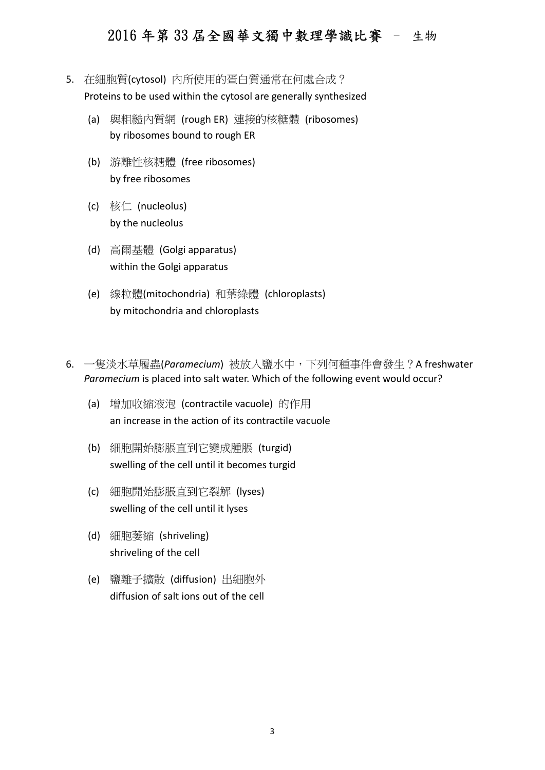- 5. 在細胞質(cytosol) 內所使用的疍白質通常在何處合成? Proteins to be used within the cytosol are generally synthesized
	- (a) 與粗糙內質網 (rough ER) 連接的核糖體 (ribosomes) by ribosomes bound to rough ER
	- (b) 游離性核糖體 (free ribosomes) by free ribosomes
	- (c) 核仁 (nucleolus) by the nucleolus
	- (d) 高爾基體 (Golgi apparatus) within the Golgi apparatus
	- (e) 線粒體(mitochondria) 和葉綠體 (chloroplasts) by mitochondria and chloroplasts
- 6. 一隻淡水草履蟲(Paramecium) 被放入鹽水中,下列何種事件會發生?A freshwater Paramecium is placed into salt water. Which of the following event would occur?
	- (a) 增加收縮液泡 (contractile vacuole) 的作用 an increase in the action of its contractile vacuole
	- (b) 細胞開始膨脹直到它變成腫脹 (turgid) swelling of the cell until it becomes turgid
	- (c) 細胞開始膨脹直到它裂解 (lyses) swelling of the cell until it lyses
	- (d) 細胞萎縮 (shriveling) shriveling of the cell
	- (e) 鹽離子擴散 (diffusion) 出細胞外 diffusion of salt ions out of the cell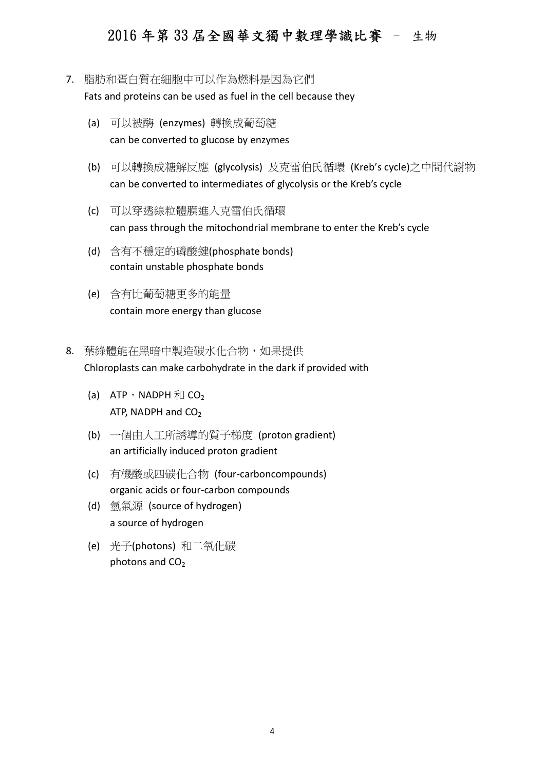#### 7. 脂肪和疍白質在細胞中可以作為燃料是因為它們

Fats and proteins can be used as fuel in the cell because they

- (a) 可以被酶 (enzymes) 轉換成葡萄糖 can be converted to glucose by enzymes
- (b) 可以轉換成糖解反應 (glycolysis) 及克雷伯氏循環 (Kreb's cycle)之中間代謝物 can be converted to intermediates of glycolysis or the Kreb's cycle
- (c) 可以穿透線粒體膜進入克雷伯氏循環 can pass through the mitochondrial membrane to enter the Kreb's cycle
- (d) 含有不穩定的磷酸鍵(phosphate bonds) contain unstable phosphate bonds
- (e) 含有比葡萄糖更多的能量 contain more energy than glucose
- 8. 葉綠體能在黑暗中製造碳水化合物,如果提供 Chloroplasts can make carbohydrate in the dark if provided with
	- (a) ATP, NADPH  $\bar{m}$  CO<sub>2</sub> ATP, NADPH and  $CO<sub>2</sub>$
	- (b) 一個由人工所誘導的質子梯度 (proton gradient) an artificially induced proton gradient
	- (c) 有機酸或四碳化合物 (four-carboncompounds) organic acids or four-carbon compounds
	- (d) 氫氣源 (source of hydrogen) a source of hydrogen
	- (e) 光子(photons) 和二氧化碳 photons and  $CO<sub>2</sub>$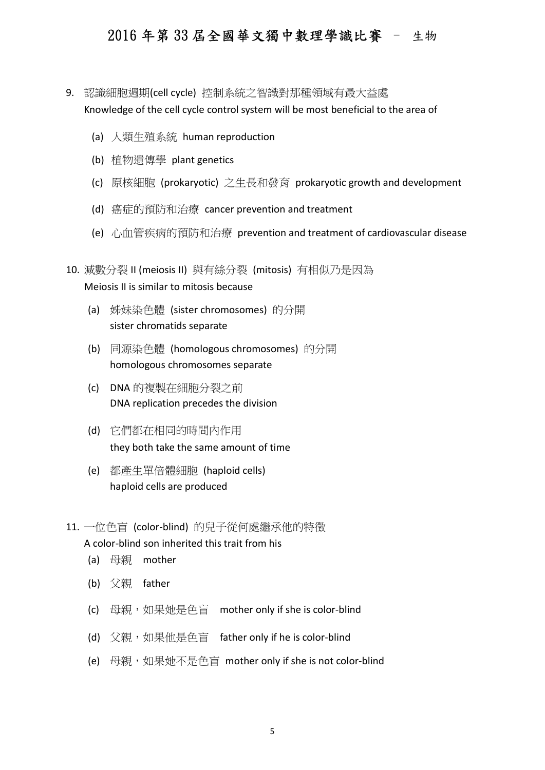- 9. 認識細胞週期(cell cycle) 控制系統之智識對那種領域有最大益處 Knowledge of the cell cycle control system will be most beneficial to the area of
	- (a) 人類生殖系統 human reproduction
	- (b) 植物遺傳學 plant genetics
	- (c) 原核細胞 (prokaryotic) 之生長和發育 prokaryotic growth and development
	- (d) 癌症的預防和治療 cancer prevention and treatment
	- (e) 心血管疾病的預防和治療 prevention and treatment of cardiovascular disease
- 10. 減數分裂 II (meiosis II) 與有絲分裂 (mitosis) 有相似乃是因為 Meiosis II is similar to mitosis because
	- (a) 姊妹染色體 (sister chromosomes) 的分開 sister chromatids separate
	- (b) 同源染色體 (homologous chromosomes) 的分開 homologous chromosomes separate
	- (c) DNA 的複製在細胞分裂之前 DNA replication precedes the division
	- (d) 它們都在相同的時間內作用 they both take the same amount of time
	- (e) 都產生單倍體細胞 (haploid cells) haploid cells are produced
- 11. 一位色盲 (color-blind) 的兒子從何處繼承他的特徵

#### A color-blind son inherited this trait from his

- (a) 母親 mother
- (b) 父親 father
- (c) 母親,如果她是色盲 mother only if she is color-blind
- (d) 父親,如果他是色盲 father only if he is color-blind
- (e) 母親,如果她不是色盲 mother only if she is not color-blind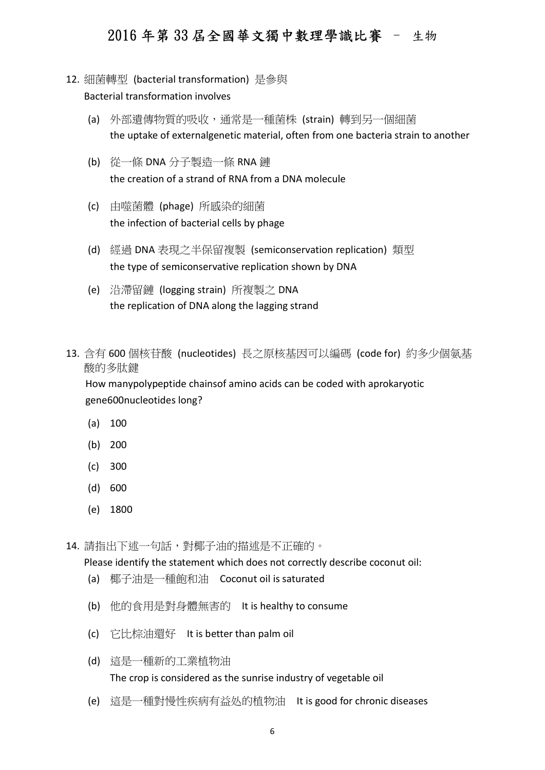- 12. 細菌轉型 (bacterial transformation) 是參與 Bacterial transformation involves
	- (a) 外部遺傳物質的吸收,通常是一種菌株 (strain) 轉到另一個細菌 the uptake of externalgenetic material, often from one bacteria strain to another
	- (b) 從一條 DNA 分子製造一條 RNA 鏈 the creation of a strand of RNA from a DNA molecule
	- (c) 由噬菌體 (phage) 所感染的細菌 the infection of bacterial cells by phage
	- (d) 經過 DNA 表現之半保留複製 (semiconservation replication) 類型 the type of semiconservative replication shown by DNA
	- (e) 沿滯留鏈 (logging strain) 所複製之 DNA the replication of DNA along the lagging strand
- 13. 含有 600 個核苷酸 (nucleotides) 長之原核基因可以編碼 (code for) 約多少個氨基 酸的多肽鍵

How manypolypeptide chainsof amino acids can be coded with aprokaryotic gene600nucleotides long?

- (a) 100
- (b) 200
- (c) 300
- (d) 600
- (e) 1800

14. 請指出下述一句話, 對椰子油的描述是不正確的。

Please identify the statement which does not correctly describe coconut oil:

- (a) 椰子油是一種飽和油 Coconut oil is saturated
- (b) 他的食用是對身體無害的 It is healthy to consume
- (c) 它比棕油還好 It is better than palm oil
- (d) 這是一種新的工業植物油 The crop is considered as the sunrise industry of vegetable oil
- (e) 這是一種對慢性疾病有益处的植物油 It is good for chronic diseases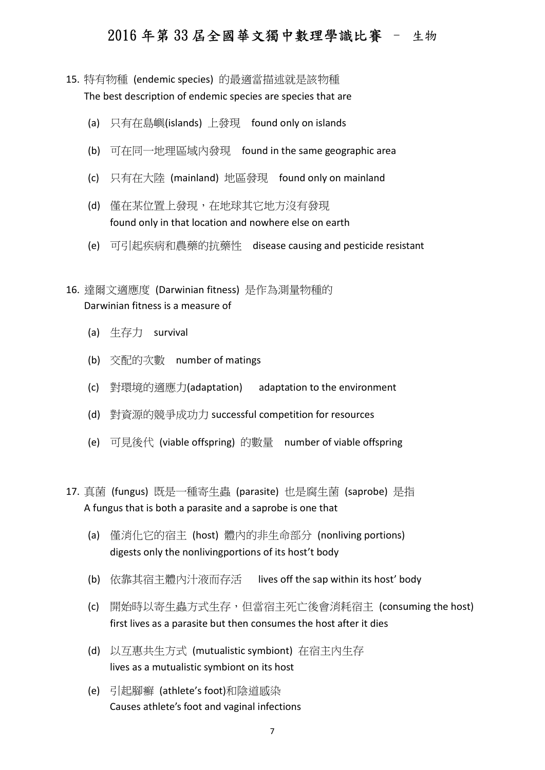- 15. 特有物種 (endemic species) 的最適當描述就是該物種 The best description of endemic species are species that are
	- (a) 只有在島嶼(islands) 上發現 found only on islands
	- (b) 可在同一地理區域內發現 found in the same geographic area
	- (c) 只有在大陸 (mainland) 地區發現 found only on mainland
	- (d) 僅在某位置上發現,在地球其它地方沒有發現 found only in that location and nowhere else on earth
	- (e) 可引起疾病和農藥的抗藥性 disease causing and pesticide resistant
- 16. 達爾文適應度 (Darwinian fitness) 是作為測量物種的 Darwinian fitness is a measure of
	- (a) 生存力 survival
	- (b) 交配的次數 number of matings
	- (c) 對環境的適應力(adaptation) adaptation to the environment
	- (d) 對資源的競爭成功力 successful competition for resources
	- (e) 可見後代 (viable offspring) 的數量 number of viable offspring
- 17. 真菌 (fungus) 既是一種寄生蟲 (parasite) 也是腐生菌 (saprobe) 是指 A fungus that is both a parasite and a saprobe is one that
	- (a) 僅消化它的宿主 (host) 體內的非生命部分 (nonliving portions) digests only the nonlivingportions of its host't body
	- (b) 依靠其宿主體內汁液而存活 lives off the sap within its host' body
	- (c) 開始時以寄生蟲方式生存,但當宿主死亡後會消耗宿主 (consuming the host) first lives as a parasite but then consumes the host after it dies
	- (d) 以互惠共生方式 (mutualistic symbiont) 在宿主內生存 lives as a mutualistic symbiont on its host
	- (e) 引起腳癬 (athlete's foot)和陰道感染 Causes athlete's foot and vaginal infections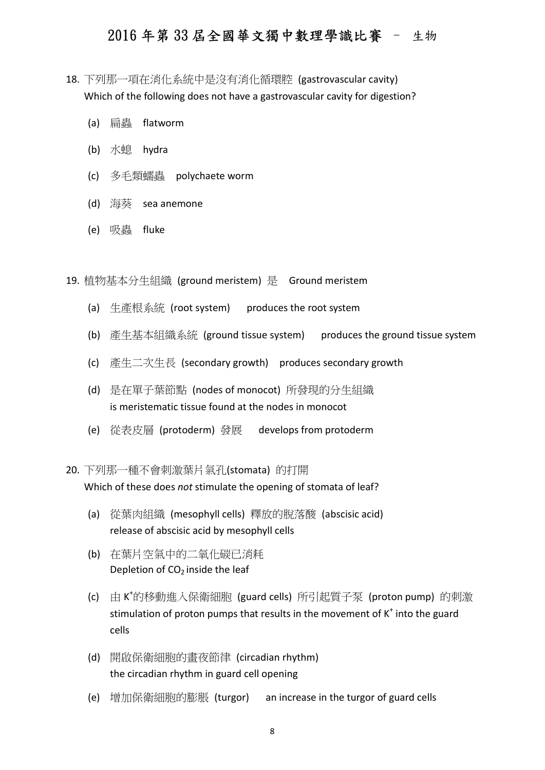- 18. 下列那一項在消化系統中是沒有消化循環腔 (gastrovascular cavity) Which of the following does not have a gastrovascular cavity for digestion?
	- (a) 扁蟲 flatworm
	- (b) 水螅 hydra
	- (c) 多毛類蠕蟲 polychaete worm
	- (d) 海葵 sea anemone
	- (e) 吸蟲 fluke

19. 植物基本分生組織 (ground meristem) 是 Ground meristem

- (a) 生產根系統 (root system) produces the root system
- (b) 產生基本組織系統 (ground tissue system) produces the ground tissue system
- (c) 產生二次生長 (secondary growth) produces secondary growth
- (d) 是在單子葉節點 (nodes of monocot) 所發現的分生組織 is meristematic tissue found at the nodes in monocot
- (e) 從表皮層 (protoderm) 發展 develops from protoderm

#### 20. 下列那一種不會刺激葉片氣孔(stomata) 的打開 Which of these does not stimulate the opening of stomata of leaf?

- (a) 從葉肉組織 (mesophyll cells) 釋放的脫落酸 (abscisic acid) release of abscisic acid by mesophyll cells
- (b) 在葉片空氣中的二氧化碳已消耗 Depletion of  $CO<sub>2</sub>$  inside the leaf
- (c) 由 K <sup>+</sup>的移動進入保衛細胞 (guard cells) 所引起質子泵 (proton pump) 的刺激 stimulation of proton pumps that results in the movement of  $K^+$  into the guard cells
- (d) 開啟保衛細胞的畫夜節律 (circadian rhythm) the circadian rhythm in guard cell opening
- (e) 增加保衛細胞的膨脹 (turgor) an increase in the turgor of guard cells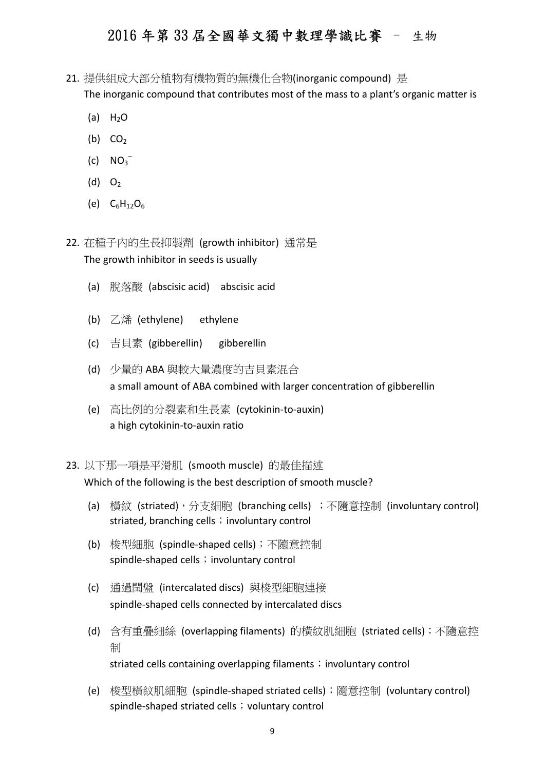- 21. 提供組成大部分植物有機物質的無機化合物(inorganic compound) 是 The inorganic compound that contributes most of the mass to a plant's organic matter is
	- (a)  $H_2O$
	- (b)  $CO<sub>2</sub>$
	- $\left( c \right)$  NO<sub>3</sub><sup>-</sup>
	- $(d)$  O<sub>2</sub>
	- (e)  $C_6H_{12}O_6$

22. 在種子內的生長抑製劑 (growth inhibitor) 通常是 The growth inhibitor in seeds is usually

- (a) 脫落酸 (abscisic acid) abscisic acid
- (b) 乙烯 (ethylene) ethylene
- (c) 吉貝素 (gibberellin) gibberellin
- (d) 少量的 ABA 與較大量濃度的吉貝素混合 a small amount of ABA combined with larger concentration of gibberellin
- (e) 高比例的分裂素和生長素 (cytokinin-to-auxin) a high cytokinin-to-auxin ratio
- 23. 以下那一項是平滑肌 (smooth muscle) 的最佳描述

Which of the following is the best description of smooth muscle?

- (a) 橫紋 (striated),分支細胞 (branching cells) ;不隨意控制 (involuntary control) striated, branching cells; involuntary control
- (b) 梭型細胞 (spindle-shaped cells);不隨意控制 spindle-shaped cells; involuntary control
- (c) 通過閏盤 (intercalated discs) 與梭型細胞連接 spindle-shaped cells connected by intercalated discs
- (d) 含有重疊細絲 (overlapping filaments) 的橫紋肌細胞 (striated cells);不隨意控 制 striated cells containing overlapping filaments; involuntary control
- (e) 梭型橫紋肌細胞 (spindle-shaped striated cells);隨意控制 (voluntary control) spindle-shaped striated cells; voluntary control